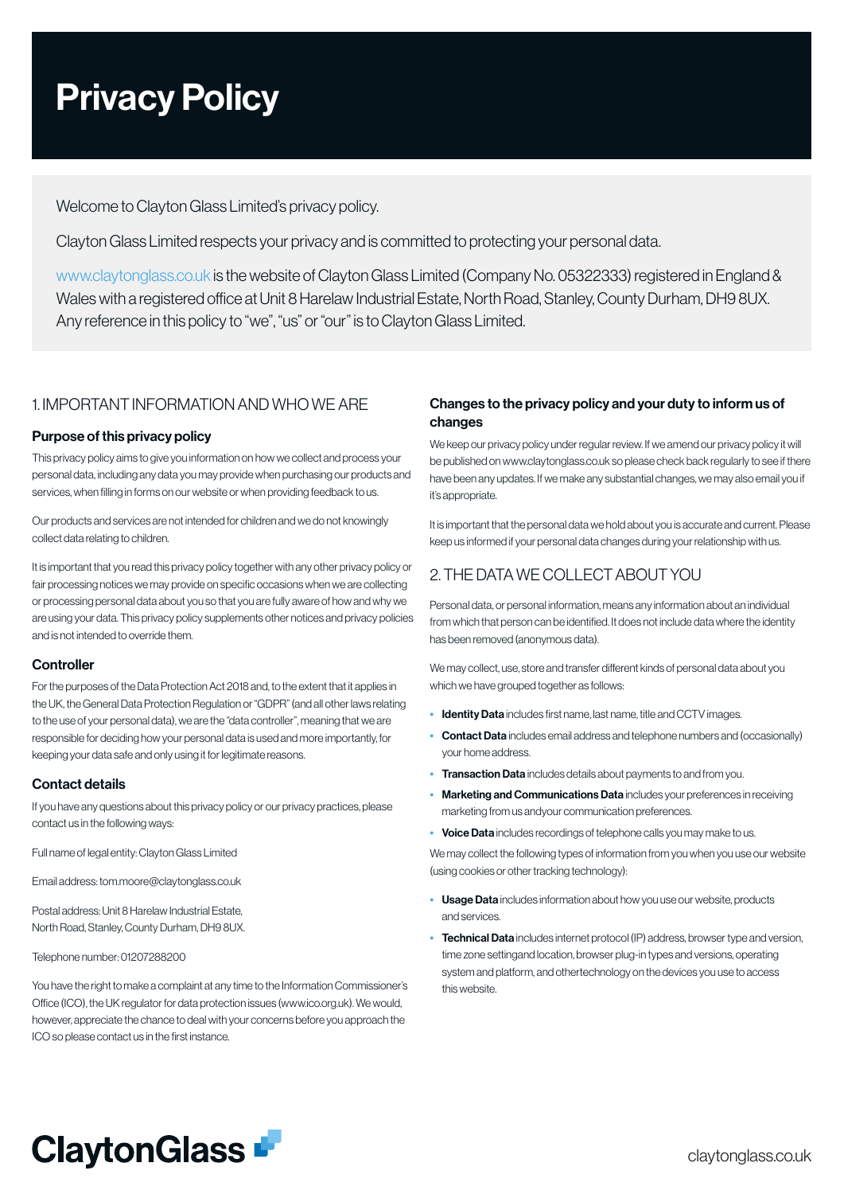# Privacy Policy

Welcome to Clayton Glass Limited's privacy policy.

Clayton Glass Limited respects your privacy and is committed to protecting your personal data.

www.claytonglass.co.uk is the website of Clayton Glass Limited (Company No. 05322333) registered in England & Wales with a registered office at Unit 8 Harelaw Industrial Estate, North Road, Stanley, County Durham, DH9 8UX. Any reference in this policy to "we", "us" or "our" is to Clayton Glass Limited.

# 1. IMPORTANT INFORMATION AND WHO WE ARE

## Purpose of this privacy policy

This privacy policy aims to give you information on how we collect and process your personal data, including any data you may provide when purchasing our products and services, when filling in forms on our website or when providing feedback to us.

Our products and services are not intended for children and we do not knowingly collect data relating to children.

It is important that you read this privacy policy together with any other privacy policy or fair processing notices we may provide on specific occasions when we are collecting or processing personal data about you so that you are fully aware of how and why we are using your data. This privacy policy supplements other notices and privacy policies and is not intended to override them.

## **Controller**

For the purposes of the Data Protection Act 2018 and, to the extent that it applies in the UK, the General Data Protection Regulation or "GDPR" (and all other laws relating to the use of your personal data), we are the "data controller", meaning that we are responsible for deciding how your personal data is used and more importantly, for keeping your data safe and only using it for legitimate reasons.

## Contact details

If you have any questions about this privacy policy or our privacy practices, please contact us in the following ways:

Full name of legal entity: Clayton Glass Limited

Email address: tom.moore@claytonglass.co.uk

Postal address: Unit 8 Harelaw Industrial Estate, North Road, Stanley, County Durham, DH9 8UX.

Telephone number: 01207288200

You have the right to make a complaint at any time to the Information Commissioner's Office (ICO), the UK regulator for data protection issues (www.ico.org.uk). We would, however, appreciate the chance to deal with your concerns before you approach the ICO so please contact us in the first instance.

# Changes to the privacy policy and your duty to inform us of changes

We keep our privacy policy under regular review. If we amend our privacy policy it will be published on www.claytonglass.co.uk so please check back regularly to see if there have been any updates. If we make any substantial changes, we may also email you if it's appropriate.

It is important that the personal data we hold about you is accurate and current. Please keep us informed if your personal data changes during your relationship with us.

# 2. THE DATA WE COLLECT ABOUT YOU

Personal data, or personal information, means any information about an individual from which that person can be identified. It does not include data where the identity has been removed (anonymous data).

We may collect, use, store and transfer different kinds of personal data about you which we have grouped together as follows:

- Identity Data includes first name, last name, title and CCTV images.
- Contact Data includes email address and telephone numbers and (occasionally) your home address.
- Transaction Data includes details about payments to and from you.
- Marketing and Communications Data includes your preferences in receiving marketing from us andyour communication preferences.
- Voice Data includes recordings of telephone calls you may make to us.

We may collect the following types of information from you when you use our website (using cookies or other tracking technology):

- Usage Data includes information about how you use our website, products and services.
- Technical Data includes internet protocol (IP) address, browser type and version, time zone settingand location, browser plug-in types and versions, operating system and platform, and othertechnology on the devices you use to access this website.

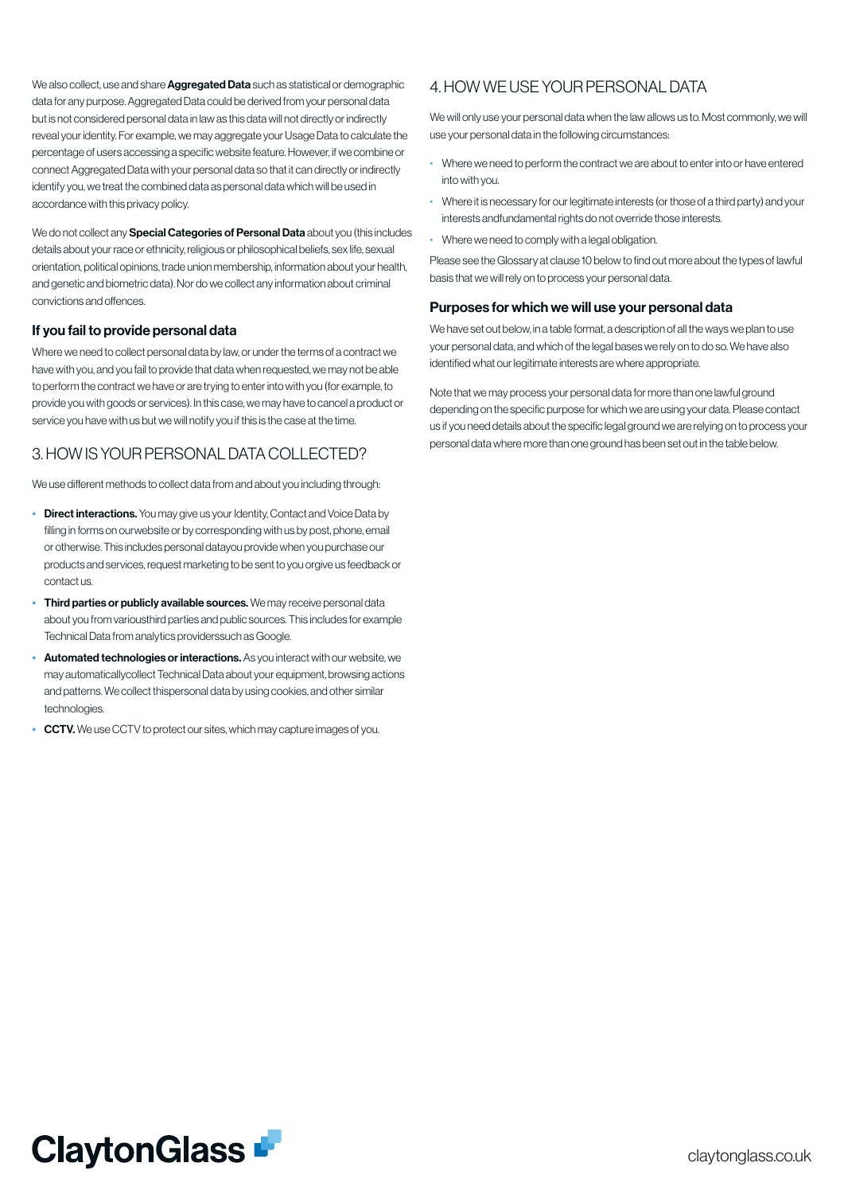We also collect, use and share **Aggregated Data** such as statistical or demographic data for any purpose. Aggregated Data could be derived from your personal data but is not considered personal data in law as this data will not directly or indirectly reveal your identity. For example, we may aggregate your Usage Data to calculate the percentage of users accessing a specific website feature. However, if we combine or connect Aggregated Data with your personal data so that it can directly or indirectly identify you, we treat the combined data as personal data which will be used in accordance with this privacy policy.

We do not collect any **Special Categories of Personal Data** about you (this includes details about your race or ethnicity, religious or philosophical beliefs, sex life, sexual orientation, political opinions, trade union membership, information about your health, and genetic and biometric data). Nor do we collect any information about criminal convictions and offences.

## If you fail to provide personal data

Where we need to collect personal data by law, or under the terms of a contract we have with you, and you fail to provide that data when requested, we may not be able to perform the contract we have or are trying to enter into with you (for example, to provide you with goods or services). In this case, we may have to cancel a product or service you have with us but we will notify you if this is the case at the time.

# 3. HOW IS YOUR PERSONAL DATA COLLECTED?

We use different methods to collect data from and about you including through:

- Direct interactions. You may give us your Identity, Contact and Voice Data by filling in forms on ourwebsite or by corresponding with us by post, phone, email or otherwise. This includes personal datayou provide when you purchase our products and services, request marketing to be sent to you orgive us feedback or contact us.
- Third parties or publicly available sources. We may receive personal data about you from variousthird parties and public sources. This includes for example Technical Data from analytics providerssuch as Google.
- Automated technologies or interactions. As you interact with our website, we may automaticallycollect Technical Data about your equipment, browsing actions and patterns. We collect thispersonal data by using cookies, and other similar technologies.
- CCTV. We use CCTV to protect our sites, which may capture images of you.

## 4. HOW WE USE YOUR PERSONAL DATA

We will only use your personal data when the law allows us to. Most commonly, we will use your personal data in the following circumstances:

- Where we need to perform the contract we are about to enter into or have entered into with you.
- Where it is necessary for our legitimate interests (or those of a third party) and your interests andfundamental rights do not override those interests.
- Where we need to comply with a legal obligation.

Please see the Glossary at clause 10 below to find out more about the types of lawful basis that we will rely on to process your personal data.

#### Purposes for which we will use your personal data

We have set out below, in a table format, a description of all the ways we plan to use your personal data, and which of the legal bases we rely on to do so. We have also identified what our legitimate interests are where appropriate.

Note that we may process your personal data for more than one lawful ground depending on the specific purpose for which we are using your data. Please contact us if you need details about the specific legal ground we are relying on to process your personal data where more than one ground has been set out in the table below.

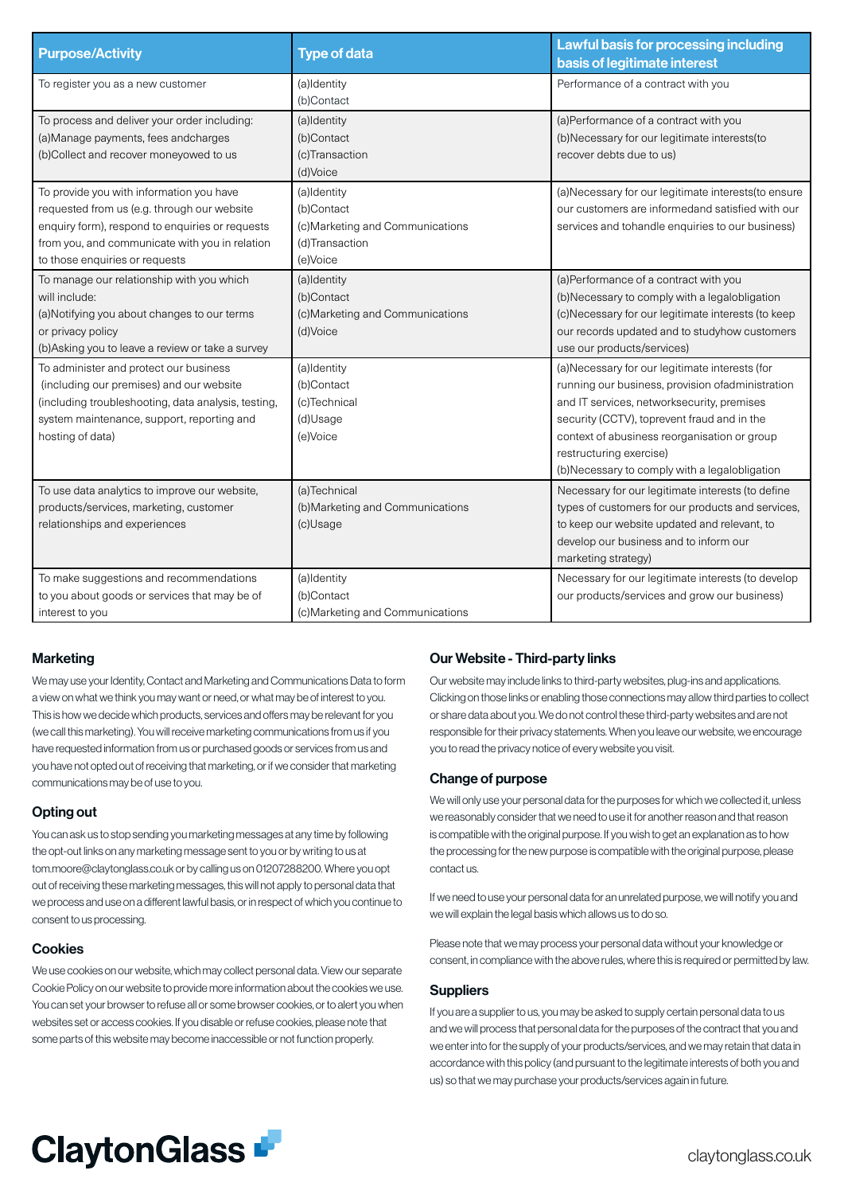| <b>Purpose/Activity</b>                                                                                                                                                                                                        | <b>Type of data</b>                                                                        | <b>Lawful basis for processing including</b><br>basis of legitimate interest                                                                                                                                                                                                                                                |
|--------------------------------------------------------------------------------------------------------------------------------------------------------------------------------------------------------------------------------|--------------------------------------------------------------------------------------------|-----------------------------------------------------------------------------------------------------------------------------------------------------------------------------------------------------------------------------------------------------------------------------------------------------------------------------|
| To register you as a new customer                                                                                                                                                                                              | (a)Identity<br>(b)Contact                                                                  | Performance of a contract with you                                                                                                                                                                                                                                                                                          |
| To process and deliver your order including:<br>(a) Manage payments, fees andcharges<br>(b)Collect and recover moneyowed to us                                                                                                 | (a)Identity<br>(b)Contact<br>(c)Transaction<br>(d)Voice                                    | (a)Performance of a contract with you<br>(b)Necessary for our legitimate interests(to<br>recover debts due to us)                                                                                                                                                                                                           |
| To provide you with information you have<br>requested from us (e.g. through our website<br>enquiry form), respond to enquiries or requests<br>from you, and communicate with you in relation<br>to those enquiries or requests | (a)Identity<br>(b)Contact<br>(c)Marketing and Communications<br>(d)Transaction<br>(e)Voice | (a)Necessary for our legitimate interests(to ensure<br>our customers are informedand satisfied with our<br>services and tohandle enquiries to our business)                                                                                                                                                                 |
| To manage our relationship with you which<br>will include:<br>(a)Notifying you about changes to our terms<br>or privacy policy<br>(b)Asking you to leave a review or take a survey                                             | (a)Identity<br>(b)Contact<br>(c) Marketing and Communications<br>(d)Voice                  | (a)Performance of a contract with you<br>(b)Necessary to comply with a legalobligation<br>(c)Necessary for our legitimate interests (to keep<br>our records updated and to studyhow customers<br>use our products/services)                                                                                                 |
| To administer and protect our business<br>(including our premises) and our website<br>(including troubleshooting, data analysis, testing,<br>system maintenance, support, reporting and<br>hosting of data)                    | (a)Identity<br>(b)Contact<br>(c)Technical<br>(d)Usage<br>(e)Voice                          | (a)Necessary for our legitimate interests (for<br>running our business, provision ofadministration<br>and IT services, networksecurity, premises<br>security (CCTV), toprevent fraud and in the<br>context of abusiness reorganisation or group<br>restructuring exercise)<br>(b)Necessary to comply with a legalobligation |
| To use data analytics to improve our website,<br>products/services, marketing, customer<br>relationships and experiences                                                                                                       | (a)Technical<br>(b) Marketing and Communications<br>(c)Usage                               | Necessary for our legitimate interests (to define<br>types of customers for our products and services,<br>to keep our website updated and relevant, to<br>develop our business and to inform our<br>marketing strategy)                                                                                                     |
| To make suggestions and recommendations<br>to you about goods or services that may be of<br>interest to you                                                                                                                    | (a)Identity<br>(b)Contact<br>(c)Marketing and Communications                               | Necessary for our legitimate interests (to develop<br>our products/services and grow our business)                                                                                                                                                                                                                          |

## **Marketing**

We may use your Identity, Contact and Marketing and Communications Data to form a view on what we think you may want or need, or what may be of interest to you. This is how we decide which products, services and offers may be relevant for you (we call this marketing). You will receive marketing communications from us if you have requested information from us or purchased goods or services from us and you have not opted out of receiving that marketing, or if we consider that marketing communications may be of use to you.

## Opting out

You can ask us to stop sending you marketing messages at any time by following the opt-out links on any marketing message sent to you or by writing to us at tom.moore@claytonglass.co.uk or by calling us on 01207288200. Where you opt out of receiving these marketing messages, this will not apply to personal data that we process and use on a different lawful basis, or in respect of which you continue to consent to us processing.

## **Cookies**

We use cookies on our website, which may collect personal data. View our separate Cookie Policy on our website to provide more information about the cookies we use. You can set your browser to refuse all or some browser cookies, or to alert you when websites set or access cookies. If you disable or refuse cookies, please note that some parts of this website may become inaccessible or not function properly.

# Our Website - Third-party links

Our website may include links to third-party websites, plug-ins and applications. Clicking on those links or enabling those connections may allow third parties to collect or share data about you. We do not control these third-party websites and are not responsible for their privacy statements. When you leave our website, we encourage you to read the privacy notice of every website you visit.

## Change of purpose

We will only use your personal data for the purposes for which we collected it, unless we reasonably consider that we need to use it for another reason and that reason is compatible with the original purpose. If you wish to get an explanation as to how the processing for the new purpose is compatible with the original purpose, please contact us.

If we need to use your personal data for an unrelated purpose, we will notify you and we will explain the legal basis which allows us to do so.

Please note that we may process your personal data without your knowledge or consent, in compliance with the above rules, where this is required or permitted by law.

## **Suppliers**

If you are a supplier to us, you may be asked to supply certain personal data to us and we will process that personal data for the purposes of the contract that you and we enter into for the supply of your products/services, and we may retain that data in accordance with this policy (and pursuant to the legitimate interests of both you and us) so that we may purchase your products/services again in future.

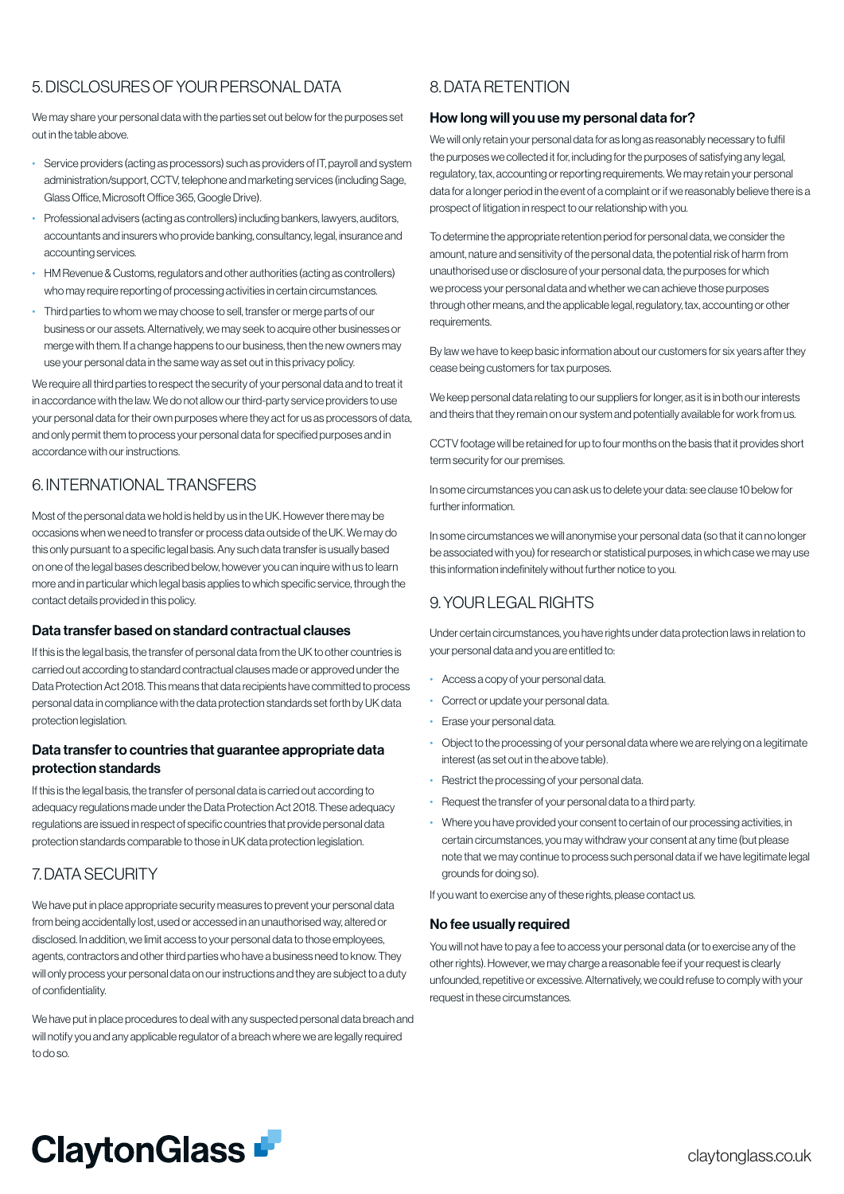# 5. DISCLOSURES OF YOUR PERSONAL DATA

We may share your personal data with the parties set out below for the purposes set out in the table above.

- Service providers (acting as processors) such as providers of IT, payroll and system administration/support, CCTV, telephone and marketing services (including Sage, Glass Office, Microsoft Office 365, Google Drive).
- Professional advisers (acting as controllers) including bankers, lawyers, auditors, accountants and insurers who provide banking, consultancy, legal, insurance and accounting services.
- HM Revenue & Customs, regulators and other authorities (acting as controllers) who may require reporting of processing activities in certain circumstances.
- Third parties to whom we may choose to sell, transfer or merge parts of our business or our assets. Alternatively, we may seek to acquire other businesses or merge with them. If a change happens to our business, then the new owners may use your personal data in the same way as set out in this privacy policy.

We require all third parties to respect the security of your personal data and to treat it in accordance with the law. We do not allow our third-party service providers to use your personal data for their own purposes where they act for us as processors of data, and only permit them to process your personal data for specified purposes and in accordance with our instructions.

# 6. INTERNATIONAL TRANSFERS

Most of the personal data we hold is held by us in the UK. However there may be occasions when we need to transfer or process data outside of the UK. We may do this only pursuant to a specific legal basis. Any such data transfer is usually based on one of the legal bases described below, however you can inquire with us to learn more and in particular which legal basis applies to which specific service, through the contact details provided in this policy.

## Data transfer based on standard contractual clauses

If this is the legal basis, the transfer of personal data from the UK to other countries is carried out according to standard contractual clauses made or approved under the Data Protection Act 2018. This means that data recipients have committed to process personal data in compliance with the data protection standards set forth by UK data protection legislation.

## Data transfer to countries that guarantee appropriate data protection standards

If this is the legal basis, the transfer of personal data is carried out according to adequacy regulations made under the Data Protection Act 2018. These adequacy regulations are issued in respect of specific countries that provide personal data protection standards comparable to those in UK data protection legislation.

# 7. DATA SECURITY

We have put in place appropriate security measures to prevent your personal data from being accidentally lost, used or accessed in an unauthorised way, altered or disclosed. In addition, we limit access to your personal data to those employees, agents, contractors and other third parties who have a business need to know. They will only process your personal data on our instructions and they are subject to a duty of confidentiality.

We have put in place procedures to deal with any suspected personal data breach and will notify you and any applicable regulator of a breach where we are legally required to do so.

# 8. DATA RETENTION

#### How long will you use my personal data for?

We will only retain your personal data for as long as reasonably necessary to fulfil the purposes we collected it for, including for the purposes of satisfying any legal, regulatory, tax, accounting or reporting requirements. We may retain your personal data for a longer period in the event of a complaint or if we reasonably believe there is a prospect of litigation in respect to our relationship with you.

To determine the appropriate retention period for personal data, we consider the amount, nature and sensitivity of the personal data, the potential risk of harm from unauthorised use or disclosure of your personal data, the purposes for which we process your personal data and whether we can achieve those purposes through other means, and the applicable legal, regulatory, tax, accounting or other requirements.

By law we have to keep basic information about our customers for six years after they cease being customers for tax purposes.

We keep personal data relating to our suppliers for longer, as it is in both our interests and theirs that they remain on our system and potentially available for work from us.

CCTV footage will be retained for up to four months on the basis that it provides short term security for our premises.

In some circumstances you can ask us to delete your data: see clause 10 below for further information.

In some circumstances we will anonymise your personal data (so that it can no longer be associated with you) for research or statistical purposes, in which case we may use this information indefinitely without further notice to you.

# 9 YOUR LEGAL BIGHTS

Under certain circumstances, you have rights under data protection laws in relation to your personal data and you are entitled to:

- Access a copy of your personal data.
- Correct or update your personal data.
- Erase your personal data.
- Object to the processing of your personal data where we are relying on a legitimate interest (as set out in the above table).
- Restrict the processing of your personal data.
- Request the transfer of your personal data to a third party.
- Where you have provided your consent to certain of our processing activities, in certain circumstances, you may withdraw your consent at any time (but please note that we may continue to process such personal data if we have legitimate legal grounds for doing so).

If you want to exercise any of these rights, please contact us.

## No fee usually required

You will not have to pay a fee to access your personal data (or to exercise any of the other rights). However, we may charge a reasonable fee if your request is clearly unfounded, repetitive or excessive. Alternatively, we could refuse to comply with your request in these circumstances.